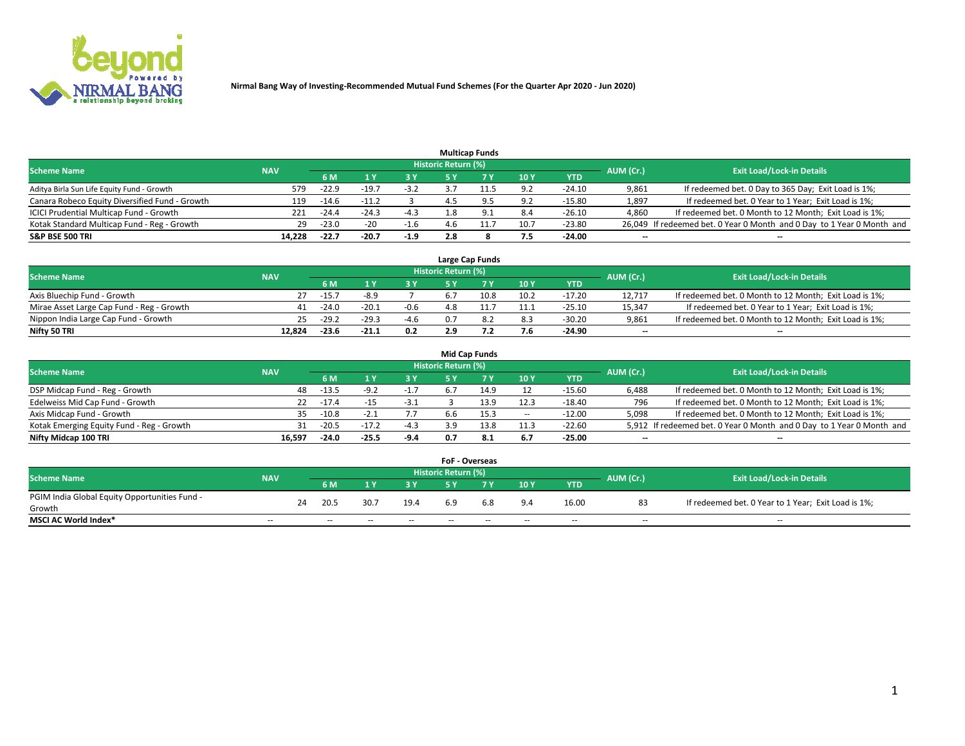

|                                                |            |           |         |        |                     | <b>Multicap Funds</b> |      |          |           |                                                                        |
|------------------------------------------------|------------|-----------|---------|--------|---------------------|-----------------------|------|----------|-----------|------------------------------------------------------------------------|
| <b>Scheme Name</b>                             | <b>NAV</b> |           |         |        | Historic Return (%) |                       |      |          | AUM (Cr.) | <b>Exit Load/Lock-in Details</b>                                       |
|                                                |            | <b>6M</b> |         |        |                     |                       | 10 Y | YTD      |           |                                                                        |
| Aditya Birla Sun Life Equity Fund - Growth     | 579        | $-22.9$   | $-19.$  | $-3.2$ |                     |                       | 9.2  | $-24.10$ | 9,861     | If redeemed bet. 0 Day to 365 Day; Exit Load is 1%;                    |
| Canara Robeco Equity Diversified Fund - Growth | 119        | $-14.6$   | $-11.2$ |        | 4.3                 |                       | 9.2  | $-15.80$ | 1,897     | If redeemed bet. 0 Year to 1 Year; Exit Load is 1%;                    |
| ICICI Prudential Multicap Fund - Growth        | 221        | $-24.4$   | $-24.3$ | $-4.3$ |                     |                       | 8.4  | $-26.10$ | 4,860     | If redeemed bet. 0 Month to 12 Month; Exit Load is 1%;                 |
| Kotak Standard Multicap Fund - Reg - Growth    | 29         | $-23.0$   | $-20$   | $-1.6$ |                     | 11.7                  | 10.7 | $-23.80$ |           | 26,049 If redeemed bet. 0 Year 0 Month and 0 Day to 1 Year 0 Month and |
| <b>S&amp;P BSE 500 TRI</b>                     | 14.228     | $-22.7$   | $-20.7$ | $-1.9$ | 2.8                 |                       | 7.5  | $-24.00$ | $- -$     | $\overline{\phantom{a}}$                                               |

|                                           |            |         |         |        |                     | Large Cap Funds |             |          |                          |                                                        |
|-------------------------------------------|------------|---------|---------|--------|---------------------|-----------------|-------------|----------|--------------------------|--------------------------------------------------------|
| <b>Scheme Name</b>                        | <b>NAV</b> |         |         |        | Historic Return (%) |                 |             |          | AUM (Cr.)                | <b>Exit Load/Lock-in Details</b>                       |
|                                           |            | 6 M     |         |        |                     |                 | <b>10 Y</b> | YTD      |                          |                                                        |
| Axis Bluechip Fund - Growth               | 27         | $-15.$  | $-8.9$  |        |                     | 10.8            | 10.2        | $-17.20$ | 12.717                   | If redeemed bet. 0 Month to 12 Month; Exit Load is 1%; |
| Mirae Asset Large Cap Fund - Reg - Growth |            | $-24.0$ | $-20.1$ | $-0.6$ |                     |                 | 11.1        | $-25.10$ | 15,347                   | If redeemed bet. 0 Year to 1 Year; Exit Load is 1%;    |
| Nippon India Large Cap Fund - Growth      | 25         | $-29.2$ | $-29.3$ | $-4.6$ |                     |                 | 8.3         | $-30.20$ | 9.861                    | If redeemed bet. 0 Month to 12 Month; Exit Load is 1%; |
| Nifty 50 TRI                              | 12.824     | $-23.6$ | $-21.1$ | 0.2    |                     |                 | 7.6         | -24.90   | $\overline{\phantom{a}}$ | $\overline{\phantom{a}}$                               |

|                                           |            |                |         |        |                     | <b>Mid Cap Funds</b> |                          |            |                          |                                                                       |
|-------------------------------------------|------------|----------------|---------|--------|---------------------|----------------------|--------------------------|------------|--------------------------|-----------------------------------------------------------------------|
| <b>Scheme Name</b>                        | <b>NAV</b> |                |         |        | Historic Return (%) |                      |                          |            | AUM (Cr.)                | <b>Exit Load/Lock-in Details</b>                                      |
|                                           |            | 6 M            |         | 3 Y    |                     |                      | 10Y                      | <b>YTD</b> |                          |                                                                       |
| DSP Midcap Fund - Reg - Growth            | 48         | $-13.5$        |         | $-1.7$ | 6.1                 | 14. <sup>o</sup>     |                          | $-15.60$   | 6.488                    | If redeemed bet. 0 Month to 12 Month; Exit Load is 1%;                |
| Edelweiss Mid Cap Fund - Growth           |            | $-17.4$<br>22. | -15     | $-3.1$ |                     | 13.9                 | 12.3                     | $-18.40$   | 796                      | If redeemed bet. 0 Month to 12 Month; Exit Load is 1%;                |
| Axis Midcap Fund - Growth                 | 35.        | $-10.8$        | -2.1    | 7.7    | b.b                 | 15.3                 | $\overline{\phantom{a}}$ | $-12.00$   | 5,098                    | If redeemed bet. 0 Month to 12 Month; Exit Load is 1%;                |
| Kotak Emerging Equity Fund - Reg - Growth |            | $-20.5$<br>31  | $-17.2$ | $-4.3$ | 3.9                 | 13.8                 | 11.3                     | $-22.60$   |                          | 5,912 If redeemed bet. 0 Year 0 Month and 0 Day to 1 Year 0 Month and |
| Nifty Midcap 100 TRI                      | 16.597     | $-24.0$        | $-25.5$ | -9.4   | 0.7                 | -8.1                 | 6.7                      | $-25.00$   | $\overline{\phantom{a}}$ | $\overline{\phantom{a}}$                                              |

|                                               |            |    |      |      |      | <b>FoF - Overseas</b>      |     |     |            |           |                                                     |
|-----------------------------------------------|------------|----|------|------|------|----------------------------|-----|-----|------------|-----------|-----------------------------------------------------|
| <b>Scheme Name</b>                            | <b>NAV</b> |    |      |      |      | <b>Historic Return (%)</b> |     |     |            | AUM (Cr.) | <b>Exit Load/Lock-in Details</b>                    |
|                                               |            |    | 6 M  |      |      |                            |     | 10Y | <b>YTD</b> |           |                                                     |
| PGIM India Global Equity Opportunities Fund - |            | 24 | 20.5 | 30.7 | 19.4 | 6.9                        | 6.8 | 9.4 | 16.00      | 83        | If redeemed bet. 0 Year to 1 Year; Exit Load is 1%; |
| Growth                                        |            |    |      |      |      |                            |     |     |            |           |                                                     |
| <b>MSCI AC World Index*</b>                   | $- -$      |    | $-$  | --   | $-$  | $- -$                      | --  | $-$ | $-$        | $-$       | $-$                                                 |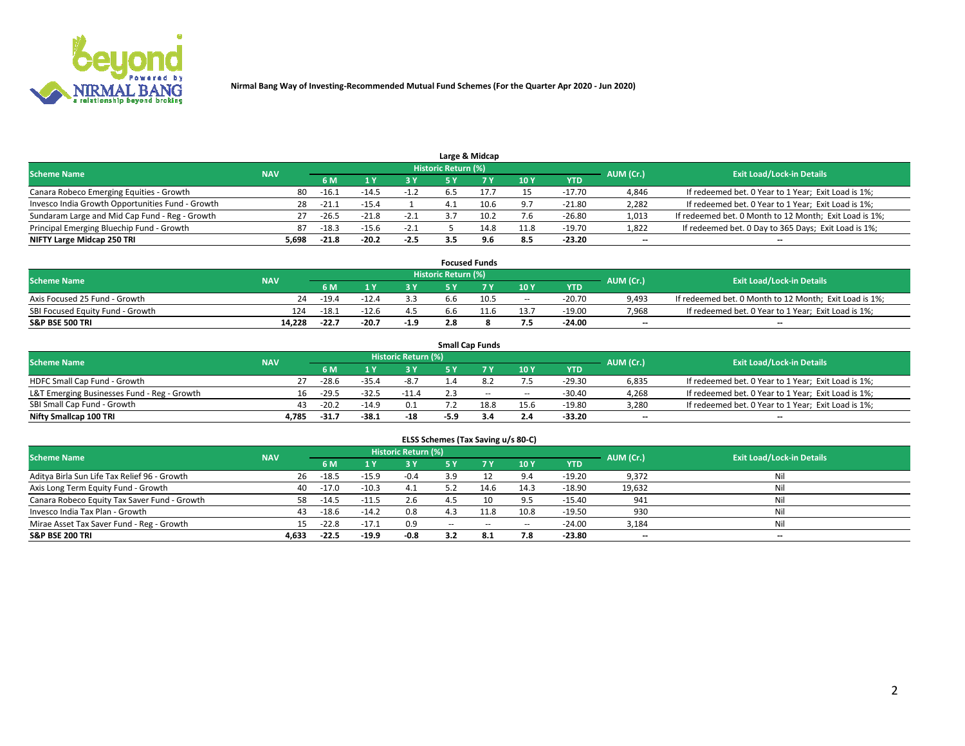

|                                                  |            |         |         |        |                     | Large & Midcap |      |            |           |                                                        |
|--------------------------------------------------|------------|---------|---------|--------|---------------------|----------------|------|------------|-----------|--------------------------------------------------------|
| <b>Scheme Name</b>                               | <b>NAV</b> |         |         |        | Historic Return (%) |                |      |            | AUM (Cr.) | <b>Exit Load/Lock-in Details</b>                       |
|                                                  |            | 6 M     |         |        |                     |                | 10Y  | <b>YTD</b> |           |                                                        |
| Canara Robeco Emerging Equities - Growth         | 80         | $-16.1$ | $-14.$  |        |                     |                | 15   | $-17.70$   | 4,846     | If redeemed bet. 0 Year to 1 Year; Exit Load is 1%;    |
| Invesco India Growth Opportunities Fund - Growth | 28         | $-21.$  | $-15.4$ |        |                     | 10.6           | 9.7  | $-21.80$   | 2,282     | If redeemed bet. 0 Year to 1 Year; Exit Load is 1%;    |
| Sundaram Large and Mid Cap Fund - Reg - Growth   | 27         | $-26.5$ | $-21.8$ | $-2.1$ |                     | 10.2           | 7.6  | $-26.80$   | 1,013     | If redeemed bet. 0 Month to 12 Month; Exit Load is 1%; |
| Principal Emerging Bluechip Fund - Growth        | 87         | $-18.3$ | $-15.6$ | -2.1   |                     | 14.8           | 11.8 | $-19.70$   | 1,822     | If redeemed bet. 0 Day to 365 Days; Exit Load is 1%;   |
| NIFTY Large Midcap 250 TRI                       | 5.698      | $-21.8$ | $-20.2$ | $-2.5$ |                     | 9.6            | 8.5  | $-23.20$   | $-$       | $\overline{\phantom{a}}$                               |

|                                  |            |         |         |        |                     | <b>Focused Funds</b> |      |          |           |                                                        |
|----------------------------------|------------|---------|---------|--------|---------------------|----------------------|------|----------|-----------|--------------------------------------------------------|
| <b>Scheme Name</b>               | <b>NAV</b> |         |         |        | Historic Return (%) |                      |      |          | AUM (Cr.) | <b>Exit Load/Lock-in Details</b>                       |
|                                  |            | 6 M     |         |        |                     |                      | 10Y  | YTD      |           |                                                        |
| Axis Focused 25 Fund - Growth    | 24         | $-19.4$ | $-12.4$ |        |                     | 10.5                 | $-$  | $-20.70$ | 9,493     | If redeemed bet. 0 Month to 12 Month; Exit Load is 1%; |
| SBI Focused Equity Fund - Growth | 124        | $-18.1$ | -12.6   |        |                     |                      | 13.7 | $-19.00$ | 7,968     | If redeemed bet. 0 Year to 1 Year; Exit Load is 1%;    |
| <b>S&amp;P BSE 500 TRI</b>       | 14.228     | $-22.7$ | $-20.7$ | $-1.9$ |                     |                      | 7.5  | $-24.00$ | $-$       | $\overline{\phantom{a}}$                               |

|                                             |            |         |         |                     |      | <b>Small Cap Funds</b> |        |            |           |                                                     |
|---------------------------------------------|------------|---------|---------|---------------------|------|------------------------|--------|------------|-----------|-----------------------------------------------------|
| <b>Scheme Name</b>                          | <b>NAV</b> |         |         | Historic Return (%) |      |                        |        |            | AUM (Cr.) | <b>Exit Load/Lock-in Details</b>                    |
|                                             |            | 6 M     |         | 3 Y                 |      |                        | 10Y    | <b>YTD</b> |           |                                                     |
| HDFC Small Cap Fund - Growth                |            | $-28.6$ | $-35.4$ | $-8.7$              |      |                        | 7.5    | $-29.30$   | 6,835     | If redeemed bet. 0 Year to 1 Year; Exit Load is 1%; |
| L&T Emerging Businesses Fund - Reg - Growth | 16.        | $-29.5$ | $-32.5$ | $-11.4$             |      | $\sim$                 | $\sim$ | $-30.40$   | 4,268     | If redeemed bet. 0 Year to 1 Year; Exit Load is 1%; |
| SBI Small Cap Fund - Growth                 | 43         | $-20.2$ | $-14.9$ | 0.1                 |      | 18.8                   | 15.6   | $-19.80$   | 3,280     | If redeemed bet. 0 Year to 1 Year; Exit Load is 1%; |
| Nifty Smallcap 100 TRI                      | 4.785      | $-31.$  | -38.1   | -18                 | -5.9 |                        | 2.4    | -33.20     | $- -$     | $\overline{\phantom{a}}$                            |

| ELSS Schemes (Tax Saving u/s 80-C)           |                                                                             |         |         |        |           |           |        |            |        |                                  |  |  |  |
|----------------------------------------------|-----------------------------------------------------------------------------|---------|---------|--------|-----------|-----------|--------|------------|--------|----------------------------------|--|--|--|
|                                              | <b>Historic Return (%)</b><br><b>Scheme Name</b><br>AUM (Cr.)<br><b>NAV</b> |         |         |        |           |           |        |            |        |                                  |  |  |  |
|                                              |                                                                             | 6 M     |         | 3 Y    | <b>5Y</b> | <b>7Y</b> | 10Y    | <b>YTD</b> |        | <b>Exit Load/Lock-in Details</b> |  |  |  |
| Aditya Birla Sun Life Tax Relief 96 - Growth | 26                                                                          | $-18.5$ | $-15.9$ | $-0.4$ | 3.9       |           | 9.4    | $-19.20$   | 9,372  | Nil                              |  |  |  |
| Axis Long Term Equity Fund - Growth          | 40                                                                          | $-17.0$ | $-10.3$ | 4.1    | 5.2       | 14.6      | 14.3   | $-18.90$   | 19,632 | Nil                              |  |  |  |
| Canara Robeco Equity Tax Saver Fund - Growth |                                                                             | $-14.5$ | $-11.5$ | 2.6    |           | 10        | 9.5    | $-15.40$   | 941    | Nil                              |  |  |  |
| Invesco India Tax Plan - Growth              | 43                                                                          | $-18.6$ | $-14.2$ | 0.8    |           | 11.8      | 10.8   | $-19.50$   | 930    | Nil                              |  |  |  |
| Mirae Asset Tax Saver Fund - Reg - Growth    | 15.                                                                         | $-22.8$ | $-17.1$ | 0.9    | $\sim$    | $\sim$    | $\sim$ | $-24.00$   | 3,184  | Nil                              |  |  |  |
| <b>S&amp;P BSE 200 TRI</b>                   | 4,633                                                                       | $-22.5$ | $-19.9$ | -0.8   | 3.2       | 8.1       | 7.8    | $-23.80$   | $- -$  | $\overline{\phantom{a}}$         |  |  |  |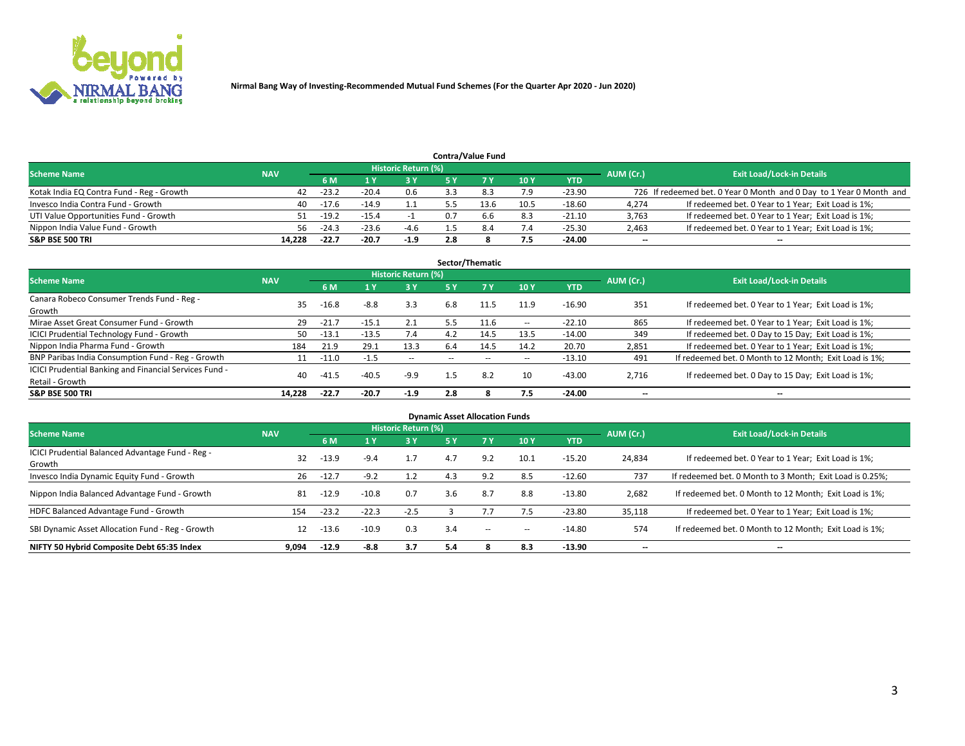

|                                           |            |         |         |                            |     | <b>Contra/Value Fund</b> |      |            |           |                                                                     |
|-------------------------------------------|------------|---------|---------|----------------------------|-----|--------------------------|------|------------|-----------|---------------------------------------------------------------------|
| <b>Scheme Name</b>                        | <b>NAV</b> |         |         | <b>Historic Return (%)</b> |     |                          |      |            | AUM (Cr.) | <b>Exit Load/Lock-in Details</b>                                    |
|                                           |            | 6 M     |         | 73 V                       |     |                          | 10Y  | <b>YTD</b> |           |                                                                     |
| Kotak India EQ Contra Fund - Reg - Growth | 42         | $-23.2$ | $-20.4$ | 0.6                        |     |                          | 7.9  | $-23.90$   |           | 726 If redeemed bet. 0 Year 0 Month and 0 Day to 1 Year 0 Month and |
| Invesco India Contra Fund - Growth        | 40         | $-17.6$ | -14.9   |                            |     |                          | 10.5 | $-18.60$   | 4,274     | If redeemed bet. 0 Year to 1 Year; Exit Load is 1%;                 |
| UTI Value Opportunities Fund - Growth     |            | $-19.2$ | $-15.4$ |                            | 0.7 | b.b                      | 8.3  | $-21.10$   | 3,763     | If redeemed bet. 0 Year to 1 Year; Exit Load is 1%;                 |
| Nippon India Value Fund - Growth          | 56.        | $-24.3$ | $-23.6$ | $-4.6$                     |     |                          | 7.4  | $-25.30$   | 2,463     | If redeemed bet. 0 Year to 1 Year; Exit Load is 1%;                 |
| <b>S&amp;P BSE 500 TRI</b>                | 14.228     | $-22.7$ | $-20.7$ | $-1.9$                     | 2.8 |                          | 7.5  | $-24.00$   | $- -$     | $\overline{\phantom{a}}$                                            |

|                                                                           |            |         |         |                     |           | Sector/Thematic |            |          |                          |                                                        |
|---------------------------------------------------------------------------|------------|---------|---------|---------------------|-----------|-----------------|------------|----------|--------------------------|--------------------------------------------------------|
| <b>Scheme Name</b>                                                        | <b>NAV</b> |         |         | Historic Return (%) |           |                 |            |          | AUM (Cr.)                | <b>Exit Load/Lock-in Details</b>                       |
|                                                                           |            | 6 M     |         | 3 Y                 | <b>5Y</b> | 7 Y             | 10Y        | YTD      |                          |                                                        |
| Canara Robeco Consumer Trends Fund - Reg -<br>Growth                      | 35.        | $-16.8$ | $-8.8$  | 3.3                 | 6.8       | 11.5            | 11.9       | $-16.90$ | 351                      | If redeemed bet. 0 Year to 1 Year; Exit Load is 1%;    |
| Mirae Asset Great Consumer Fund - Growth                                  | 29         | $-21.7$ | ذ.15-   | 2.1                 | 5.5       | 11.6            | $\sim$     | $-22.10$ | 865                      | If redeemed bet. 0 Year to 1 Year; Exit Load is 1%;    |
| <b>ICICI Prudential Technology Fund - Growth</b>                          | 50         | $-13.1$ | $-13.5$ | 7.4                 | 4.2       | 14.5            | 13.5       | $-14.00$ | 349                      | If redeemed bet. 0 Day to 15 Day; Exit Load is 1%;     |
| Nippon India Pharma Fund - Growth                                         | 184        | 21.9    | 29.1    | 13.3                | 6.4       | 14.5            | 14.2       | 20.70    | 2,851                    | If redeemed bet. 0 Year to 1 Year; Exit Load is 1%;    |
| BNP Paribas India Consumption Fund - Reg - Growth                         |            | $-11.0$ | $-1.5$  | $\sim$              |           |                 | $\sim$ $-$ | $-13.10$ | 491                      | If redeemed bet. 0 Month to 12 Month; Exit Load is 1%; |
| ICICI Prudential Banking and Financial Services Fund -<br>Retail - Growth | 40         | $-41.5$ | $-40.5$ | $-9.9$              | 1.5       | 8.2             | 10         | $-43.00$ | 2,716                    | If redeemed bet. 0 Day to 15 Day; Exit Load is 1%;     |
| <b>S&amp;P BSE 500 TRI</b>                                                | 14.228     | $-22.7$ | $-20.7$ | $-1.9$              | 2.8       |                 | 7.5        | $-24.00$ | $\overline{\phantom{a}}$ | --                                                     |

| <b>Dynamic Asset Allocation Funds</b>                      |            |         |         |                     |     |     |        |            |           |                                                          |  |  |  |
|------------------------------------------------------------|------------|---------|---------|---------------------|-----|-----|--------|------------|-----------|----------------------------------------------------------|--|--|--|
| <b>Scheme Name</b>                                         | <b>NAV</b> |         |         | Historic Return (%) |     |     |        |            | AUM (Cr.) | <b>Exit Load/Lock-in Details</b>                         |  |  |  |
|                                                            |            | 6 M     | l Y     | 3 Y                 | 5 Y |     | 10Y    | <b>YTD</b> |           |                                                          |  |  |  |
| ICICI Prudential Balanced Advantage Fund - Reg -<br>Growth | 32         | $-13.9$ | $-9.4$  | 1.7                 | 4.7 | 9.2 | 10.1   | $-15.20$   | 24,834    | If redeemed bet. 0 Year to 1 Year; Exit Load is 1%;      |  |  |  |
| Invesco India Dynamic Equity Fund - Growth                 | 26         | $-12.7$ | $-9.2$  | 1.2                 | 4.3 | 9.2 | 8.5    | $-12.60$   | 737       | If redeemed bet. 0 Month to 3 Month; Exit Load is 0.25%; |  |  |  |
| Nippon India Balanced Advantage Fund - Growth              | 81         | $-12.9$ | $-10.8$ | 0.7                 | 3.6 | 8.7 | 8.8    | $-13.80$   | 2,682     | If redeemed bet. 0 Month to 12 Month; Exit Load is 1%;   |  |  |  |
| HDFC Balanced Advantage Fund - Growth                      | 154        | $-23.2$ | $-22.3$ | $-2.5$              |     |     | 7.5    | $-23.80$   | 35,118    | If redeemed bet. 0 Year to 1 Year; Exit Load is 1%;      |  |  |  |
| SBI Dynamic Asset Allocation Fund - Reg - Growth           | 12         | $-13.6$ | $-10.9$ | 0.3                 | 3.4 | $-$ | $\sim$ | $-14.80$   | 574       | If redeemed bet. 0 Month to 12 Month; Exit Load is 1%;   |  |  |  |
| NIFTY 50 Hybrid Composite Debt 65:35 Index                 | 9.094      | $-12.9$ | -8.8    | 3.7                 | 5.4 |     | 8.3    | $-13.90$   | --        | $\overline{\phantom{a}}$                                 |  |  |  |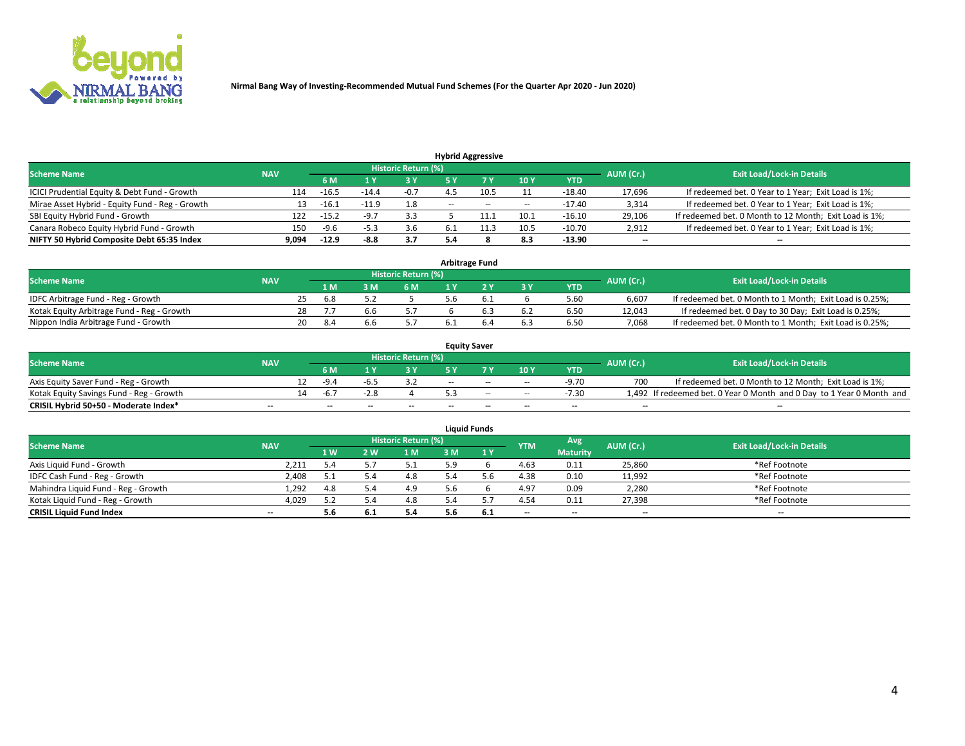

|                                                 |            |         |         |                            |                          | <b>Hybrid Aggressive</b> |        |            |           |                                                        |
|-------------------------------------------------|------------|---------|---------|----------------------------|--------------------------|--------------------------|--------|------------|-----------|--------------------------------------------------------|
| <b>Scheme Name</b>                              | <b>NAV</b> |         |         | <b>Historic Return (%)</b> |                          |                          |        |            | AUM (Cr.) | <b>Exit Load/Lock-in Details</b>                       |
|                                                 |            | 6 M     |         | 73 V                       |                          |                          | 10Y    | <b>YTD</b> |           |                                                        |
| ICICI Prudential Equity & Debt Fund - Growth    | 114        | $-16.5$ | $-14.4$ | -0.7                       |                          | 10.5                     |        | $-18.40$   | 17,696    | If redeemed bet. 0 Year to 1 Year; Exit Load is 1%;    |
| Mirae Asset Hybrid - Equity Fund - Reg - Growth | 13         | -16.1   |         | 1.8                        | $\overline{\phantom{a}}$ | $\sim$                   | $\sim$ | $-17.40$   | 3,314     | If redeemed bet. 0 Year to 1 Year; Exit Load is 1%;    |
| SBI Equity Hybrid Fund - Growth                 | 122        | $-15.2$ | $-9.7$  | 3.3                        |                          | 11.1                     | 10.1   | $-16.10$   | 29,106    | If redeemed bet. 0 Month to 12 Month; Exit Load is 1%; |
| Canara Robeco Equity Hybrid Fund - Growth       | 150        | $-9.6$  | -5.3    | 3.6                        |                          |                          | 10.5   | $-10.70$   | 2,912     | If redeemed bet. 0 Year to 1 Year; Exit Load is 1%;    |
| NIFTY 50 Hybrid Composite Debt 65:35 Index      | 9,094      | $-12.9$ | -8.8    | 3.7                        |                          |                          | 8.3    | $-13.90$   | $- -$     | $\overline{\phantom{a}}$                               |

| <b>Arbitrage Fund</b>                      |            |     |      |    |                            |  |  |       |            |           |                                                          |  |  |
|--------------------------------------------|------------|-----|------|----|----------------------------|--|--|-------|------------|-----------|----------------------------------------------------------|--|--|
| <b>Scheme Name</b>                         | <b>NAV</b> |     |      |    | <b>Historic Return (%)</b> |  |  |       |            | AUM (Cr.) | <b>Exit Load/Lock-in Details</b>                         |  |  |
|                                            |            |     | 1 M  | sм | 6 M                        |  |  | $-3V$ | <b>YTD</b> |           |                                                          |  |  |
| IDFC Arbitrage Fund - Reg - Growth         |            | -25 | -6.8 |    |                            |  |  |       | 5.60       | 6.607     | If redeemed bet. 0 Month to 1 Month; Exit Load is 0.25%; |  |  |
| Kotak Equity Arbitrage Fund - Reg - Growth |            | 28  |      |    |                            |  |  |       | 6.50       | 12.043    | If redeemed bet. 0 Day to 30 Day; Exit Load is 0.25%;    |  |  |
| Nippon India Arbitrage Fund - Growth       |            | 20  | 8.4  |    |                            |  |  | 6.3   | 6.50       | 7.068     | If redeemed bet. 0 Month to 1 Month; Exit Load is 0.25%; |  |  |

|                                          |            |     |                          |      |                          |       | <b>Equity Saver</b>      |        |            |           |                                                                       |
|------------------------------------------|------------|-----|--------------------------|------|--------------------------|-------|--------------------------|--------|------------|-----------|-----------------------------------------------------------------------|
| <b>Scheme Name</b>                       | <b>NAV</b> |     |                          |      | Historic Return (%)      |       |                          |        |            | AUM (Cr.) | <b>Exit Load/Lock-in Details</b>                                      |
|                                          |            |     | 6 M                      |      |                          |       | 7 V                      | 10Y    | <b>YTD</b> |           |                                                                       |
| Axis Equity Saver Fund - Reg - Growth    |            |     | $-9.4$                   | -b.: |                          | $- -$ | $-$                      | $\sim$ | $-9.70$    | 700       | If redeemed bet. 0 Month to 12 Month; Exit Load is 1%;                |
| Kotak Equity Savings Fund - Reg - Growth |            | 14. | -6.,                     |      |                          |       | $\sim$                   | $\sim$ | $-7.30$    |           | 1,492 If redeemed bet. 0 Year 0 Month and 0 Day to 1 Year 0 Month and |
| CRISIL Hybrid 50+50 - Moderate Index*    | $- -$      |     | $\overline{\phantom{a}}$ | --   | $\overline{\phantom{a}}$ | $-$   | $\overline{\phantom{a}}$ | $-$    | $-$        | $- -$     | --                                                                    |

| <b>Liquid Funds</b>                 |                          |     |            |                            |     |     |            |                 |           |                                  |  |  |  |
|-------------------------------------|--------------------------|-----|------------|----------------------------|-----|-----|------------|-----------------|-----------|----------------------------------|--|--|--|
| <b>Scheme Name</b>                  | <b>NAV</b>               |     |            | <b>Historic Return (%)</b> |     |     | <b>YTM</b> | Avg             | AUM (Cr.) | <b>Exit Load/Lock-in Details</b> |  |  |  |
|                                     |                          | 1W  | <b>2 W</b> | 1 M                        | 3 M | 1Y  |            | <b>Maturity</b> |           |                                  |  |  |  |
| Axis Liquid Fund - Growth           | 2,211                    | 5.4 |            | 5.1                        |     |     | 4.63       | 0.11            | 25,860    | *Ref Footnote                    |  |  |  |
| IDFC Cash Fund - Reg - Growth       | 2,408                    | ь.  |            | 4.8                        |     |     | 4.38       | 0.10            | 11,992    | *Ref Footnote                    |  |  |  |
| Mahindra Liquid Fund - Reg - Growth | 1,292                    | 4.8 |            | 4.9                        |     |     | 4.97       | 0.09            | 2,280     | *Ref Footnote                    |  |  |  |
| Kotak Liquid Fund - Reg - Growth    | 4,029                    | 52  | 5.4        | 4.8                        |     |     | 4.54       | 0.11            | 27,398    | *Ref Footnote                    |  |  |  |
| <b>CRISIL Liquid Fund Index</b>     | $\overline{\phantom{a}}$ | 5.6 |            | 5.4                        | 5.6 | 6.1 | $-$        | $-$             | $-$       | $-$                              |  |  |  |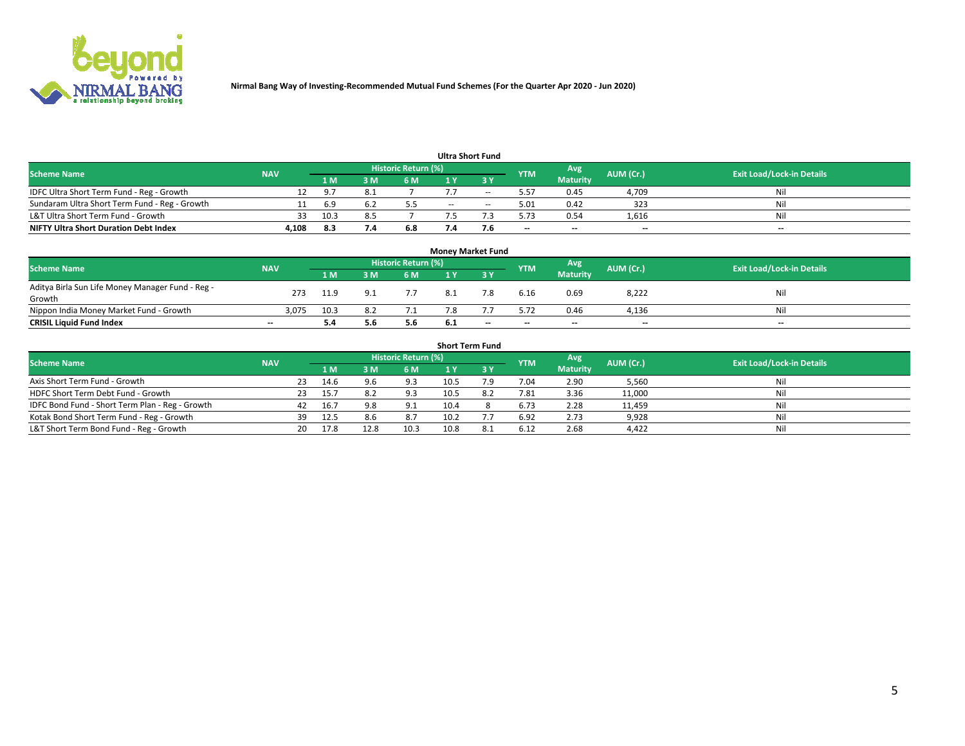

|                                               |            |      |   |                     |     | <b>Ultra Short Fund</b> |            |                          |           |                                  |
|-----------------------------------------------|------------|------|---|---------------------|-----|-------------------------|------------|--------------------------|-----------|----------------------------------|
| <b>Scheme Name</b>                            | <b>NAV</b> |      |   | Historic Return (%) |     |                         | <b>YTM</b> | Avg                      | AUM (Cr.) | <b>Exit Load/Lock-in Details</b> |
|                                               |            | 1 M  | M | 6 M                 |     | ע כ                     |            | <b>Maturity</b>          |           |                                  |
| IDFC Ultra Short Term Fund - Reg - Growth     |            |      |   |                     |     |                         | 5.57       | 0.45                     | 4,709     | Nil                              |
| Sundaram Ultra Short Term Fund - Reg - Growth |            | 6.9  |   |                     | $-$ | $-$                     | 5.01       | 0.42                     | 323       | Nil                              |
| L&T Ultra Short Term Fund - Growth            | 33         | 10.3 |   |                     |     |                         | 5.73       | 0.54                     | 1,616     | Nil                              |
| <b>NIFTY Ultra Short Duration Debt Index</b>  | 4.108      | 8.3  |   | 6.8                 |     | 7.b                     | $- -$      | $\overline{\phantom{a}}$ | $- -$     | $- -$                            |

| <b>Money Market Fund</b>                         |            |      |     |                            |     |     |            |                          |           |                                  |  |  |  |  |
|--------------------------------------------------|------------|------|-----|----------------------------|-----|-----|------------|--------------------------|-----------|----------------------------------|--|--|--|--|
| <b>Scheme Name</b>                               | <b>NAV</b> |      |     | <b>Historic Return (%)</b> |     |     | <b>YTM</b> | Avg                      | AUM (Cr.) | <b>Exit Load/Lock-in Details</b> |  |  |  |  |
|                                                  |            | '1 M | 3 M | 6 M                        |     | 2 V |            | <b>Maturity</b>          |           |                                  |  |  |  |  |
| Aditya Birla Sun Life Money Manager Fund - Reg - | 273        | 11.9 |     |                            |     | 7.8 | 6.16       | 0.69                     | 8,222     | Nil                              |  |  |  |  |
| Growth                                           |            |      |     |                            |     |     |            |                          |           |                                  |  |  |  |  |
| Nippon India Money Market Fund - Growth          | 3.075      | 10.3 |     |                            |     |     | 5.72       | 0.46                     | 4,136     | Nil                              |  |  |  |  |
| <b>CRISIL Liquid Fund Index</b>                  | $-$        | 5.4  | 5.6 | 5.6                        | 6.1 | --  | $-$        | $\overline{\phantom{a}}$ | $- -$     | $-$                              |  |  |  |  |

| <b>Short Term Fund</b>                          |            |     |      |      |                            |      |     |            |                 |           |                                  |  |  |
|-------------------------------------------------|------------|-----|------|------|----------------------------|------|-----|------------|-----------------|-----------|----------------------------------|--|--|
| <b>Scheme Name</b>                              | <b>NAV</b> |     |      |      | <b>Historic Return (%)</b> |      |     | <b>YTM</b> | Avg             | AUM (Cr.) | <b>Exit Load/Lock-in Details</b> |  |  |
|                                                 |            |     |      | 3 M  | 6 M                        |      |     |            | <b>Maturity</b> |           |                                  |  |  |
| Axis Short Term Fund - Growth                   |            | 23  | 14.6 | 9.6  | 9.3                        | 10.5 | ۰.9 | 7.04       | 2.90            | 5,560     | Nil                              |  |  |
| HDFC Short Term Debt Fund - Growth              |            |     | 15.7 |      | 9.3                        | 10.5 |     | 7.81       | 3.36            | 11,000    | Nil                              |  |  |
| IDFC Bond Fund - Short Term Plan - Reg - Growth |            | 42  | 16.7 | 9.8  | 9.1                        | 10.4 |     | 6.73       | 2.28            | 11,459    | Nil                              |  |  |
| Kotak Bond Short Term Fund - Reg - Growth       |            | 39  | 12.5 | 8.6  | 8.7                        | 10.2 |     | 6.92       | 2.73            | 9,928     | Nil                              |  |  |
| L&T Short Term Bond Fund - Reg - Growth         |            | 20. | 17.8 | 12.8 | 10.3                       | 10.8 | 8.1 | 6.12       | 2.68            | 4,422     | Nil                              |  |  |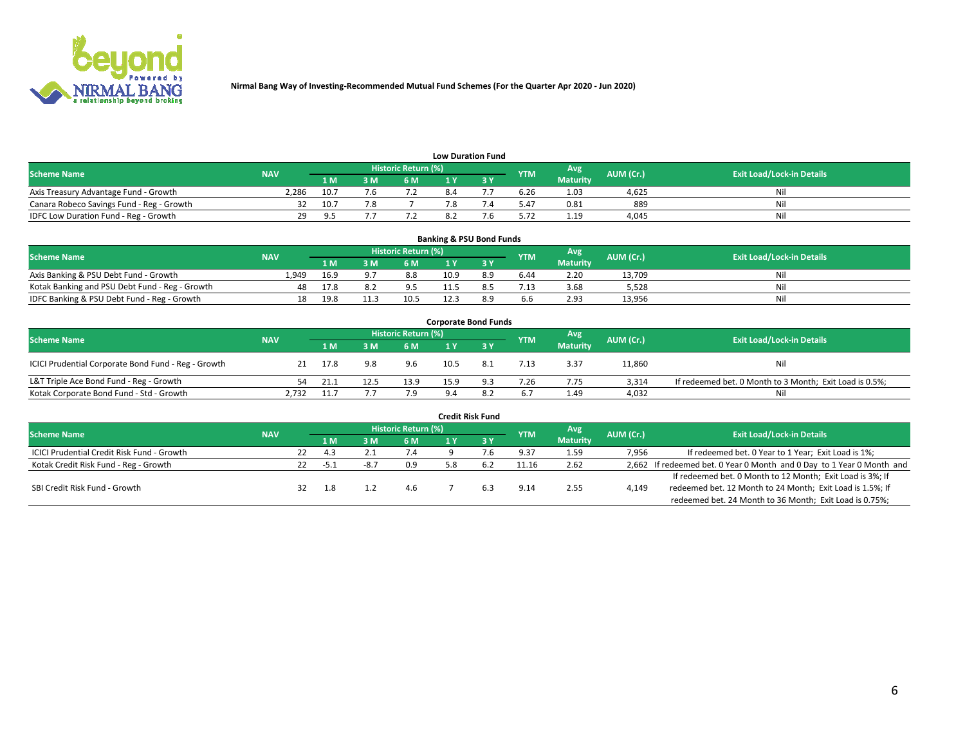

| <b>Low Duration Fund</b>                  |            |       |     |                            |  |     |            |                 |           |                                  |  |  |  |  |
|-------------------------------------------|------------|-------|-----|----------------------------|--|-----|------------|-----------------|-----------|----------------------------------|--|--|--|--|
| <b>Scheme Name</b>                        | <b>NAV</b> |       |     | <b>Historic Return (%)</b> |  |     | <b>YTM</b> | Avg             | AUM (Cr.) | <b>Exit Load/Lock-in Details</b> |  |  |  |  |
|                                           |            | 1 M . | 3 M | 6 M                        |  | י פ |            | <b>Maturity</b> |           |                                  |  |  |  |  |
| Axis Treasury Advantage Fund - Growth     | 2.286      | 10.7  |     |                            |  |     | 6.26       | 1.03            | 4.625     | Nil                              |  |  |  |  |
| Canara Robeco Savings Fund - Reg - Growth |            | 10.7  |     |                            |  |     | 5.47       | 0.81            | 889       | Nil                              |  |  |  |  |
| IDFC Low Duration Fund - Reg - Growth     | 29         | o r   |     |                            |  |     | 5.72       | 1.19            | 4.045     | Nil                              |  |  |  |  |

| <b>Banking &amp; PSU Bond Funds</b>            |            |      |      |                     |      |     |            |                 |           |                                  |  |  |  |
|------------------------------------------------|------------|------|------|---------------------|------|-----|------------|-----------------|-----------|----------------------------------|--|--|--|
| <b>Scheme Name</b>                             | <b>NAV</b> |      |      | Historic Return (%) |      |     | <b>YTM</b> | Avg             | AUM (Cr.) | <b>Exit Load/Lock-in Details</b> |  |  |  |
|                                                |            | 1 M  | 3 M  | 6 M                 |      |     |            | <b>Maturity</b> |           |                                  |  |  |  |
| Axis Banking & PSU Debt Fund - Growth          | 1.949      | 16.9 |      | 8.8                 | 10.9 | 8.9 | 6.44       | 2.20            | 13.709    | Nil                              |  |  |  |
| Kotak Banking and PSU Debt Fund - Reg - Growth |            | 17.8 |      | 9.5                 |      |     | 1.13       | 3.68            | 5.528     | Nil                              |  |  |  |
| IDFC Banking & PSU Debt Fund - Reg - Growth    | 18         | 19.8 | 11.3 | 10.5                |      | 89  | 6.6        | 2.93            | 13,956    | Nil                              |  |  |  |

| <b>Corporate Bond Funds</b>                         |            |      |      |                     |      |     |            |                 |           |                                                         |  |  |  |  |
|-----------------------------------------------------|------------|------|------|---------------------|------|-----|------------|-----------------|-----------|---------------------------------------------------------|--|--|--|--|
| <b>Scheme Name</b>                                  | <b>NAV</b> |      |      | Historic Return (%) |      |     | <b>YTM</b> | Avg             | AUM (Cr.) | <b>Exit Load/Lock-in Details</b>                        |  |  |  |  |
|                                                     |            | 1 M  |      | 6 M                 |      |     |            | <b>Maturity</b> |           |                                                         |  |  |  |  |
| ICICI Prudential Corporate Bond Fund - Reg - Growth | 21         | 17.8 | 9.8  | 9.6                 | 10.5 | 8.1 | 7.13       | 3.37            | 11,860    | Nil                                                     |  |  |  |  |
| L&T Triple Ace Bond Fund - Reg - Growth             | 54         | 21.2 | 12.5 | 13.9                | 15.9 | 9.3 | 7.26       | 7.75            | 3.314     | If redeemed bet. 0 Month to 3 Month; Exit Load is 0.5%; |  |  |  |  |
| Kotak Corporate Bond Fund - Std - Growth            | 2.732      | 11.7 |      | 7.9                 | 9.4  | 8.2 | 6.7        | 1.49            | 4,032     | Nil                                                     |  |  |  |  |

|                                                   |            |    |      |      |                            | <b>Credit Risk Fund</b> |            |                 |           |                                                                       |
|---------------------------------------------------|------------|----|------|------|----------------------------|-------------------------|------------|-----------------|-----------|-----------------------------------------------------------------------|
| <b>Scheme Name</b>                                | <b>NAV</b> |    |      |      | <b>Historic Return (%)</b> |                         | <b>YTM</b> | Avg             | AUM (Cr.) | <b>Exit Load/Lock-in Details</b>                                      |
|                                                   |            |    | 1 M  | 3 M  | <b>6M</b>                  | 3 Y                     |            | <b>Maturity</b> |           |                                                                       |
| <b>ICICI Prudential Credit Risk Fund - Growth</b> |            | 22 | 4.3  |      | 7.4                        |                         | 9.37       | 1.59            | 7,956     | If redeemed bet. 0 Year to 1 Year; Exit Load is 1%;                   |
| Kotak Credit Risk Fund - Reg - Growth             |            | 22 | -5.1 | -8.7 | 0.9                        |                         | 11.16      | 2.62            |           | 2,662 If redeemed bet. 0 Year 0 Month and 0 Day to 1 Year 0 Month and |
|                                                   |            |    |      |      |                            |                         |            |                 |           | If redeemed bet. 0 Month to 12 Month; Exit Load is 3%; If             |
| SBI Credit Risk Fund - Growth                     |            |    |      |      |                            |                         | 9.14       | 2.55            | 4,149     | redeemed bet. 12 Month to 24 Month; Exit Load is 1.5%; If             |
|                                                   |            |    |      |      |                            |                         |            |                 |           | redeemed bet. 24 Month to 36 Month; Exit Load is 0.75%;               |